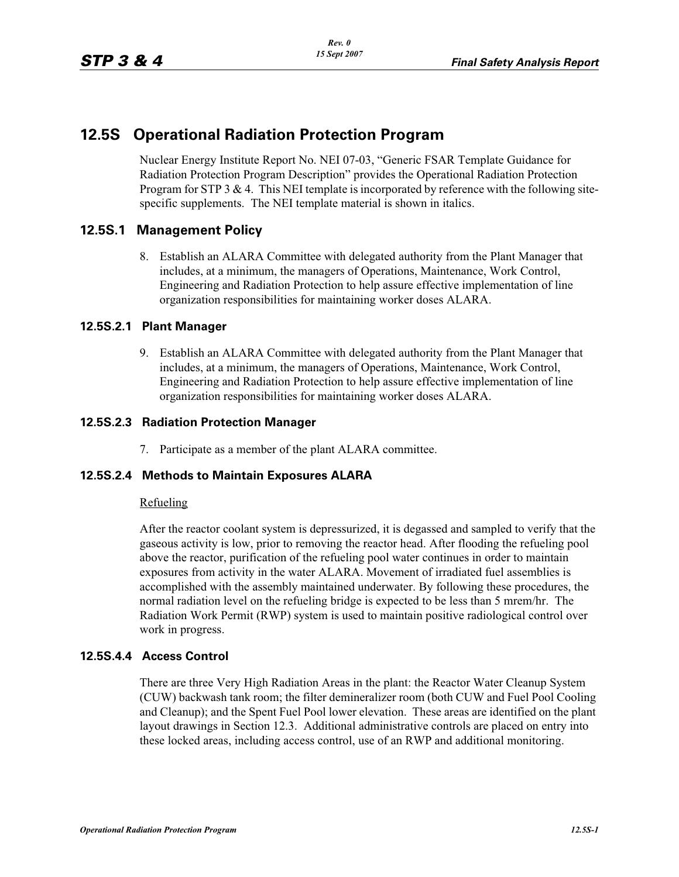# **12.5S Operational Radiation Protection Program**

Nuclear Energy Institute Report No. NEI 07-03, "Generic FSAR Template Guidance for Radiation Protection Program Description" provides the Operational Radiation Protection Program for STP 3  $& 4$ . This NEI template is incorporated by reference with the following sitespecific supplements. The NEI template material is shown in italics.

# **12.5S.1 Management Policy**

8. Establish an ALARA Committee with delegated authority from the Plant Manager that includes, at a minimum, the managers of Operations, Maintenance, Work Control, Engineering and Radiation Protection to help assure effective implementation of line organization responsibilities for maintaining worker doses ALARA.

## **12.5S.2.1 Plant Manager**

9. Establish an ALARA Committee with delegated authority from the Plant Manager that includes, at a minimum, the managers of Operations, Maintenance, Work Control, Engineering and Radiation Protection to help assure effective implementation of line organization responsibilities for maintaining worker doses ALARA.

## **12.5S.2.3 Radiation Protection Manager**

7. Participate as a member of the plant ALARA committee.

#### **12.5S.2.4 Methods to Maintain Exposures ALARA**

#### Refueling

After the reactor coolant system is depressurized, it is degassed and sampled to verify that the gaseous activity is low, prior to removing the reactor head. After flooding the refueling pool above the reactor, purification of the refueling pool water continues in order to maintain exposures from activity in the water ALARA. Movement of irradiated fuel assemblies is accomplished with the assembly maintained underwater. By following these procedures, the normal radiation level on the refueling bridge is expected to be less than 5 mrem/hr. The Radiation Work Permit (RWP) system is used to maintain positive radiological control over work in progress.

#### **12.5S.4.4 Access Control**

There are three Very High Radiation Areas in the plant: the Reactor Water Cleanup System (CUW) backwash tank room; the filter demineralizer room (both CUW and Fuel Pool Cooling and Cleanup); and the Spent Fuel Pool lower elevation. These areas are identified on the plant layout drawings in Section 12.3. Additional administrative controls are placed on entry into these locked areas, including access control, use of an RWP and additional monitoring.